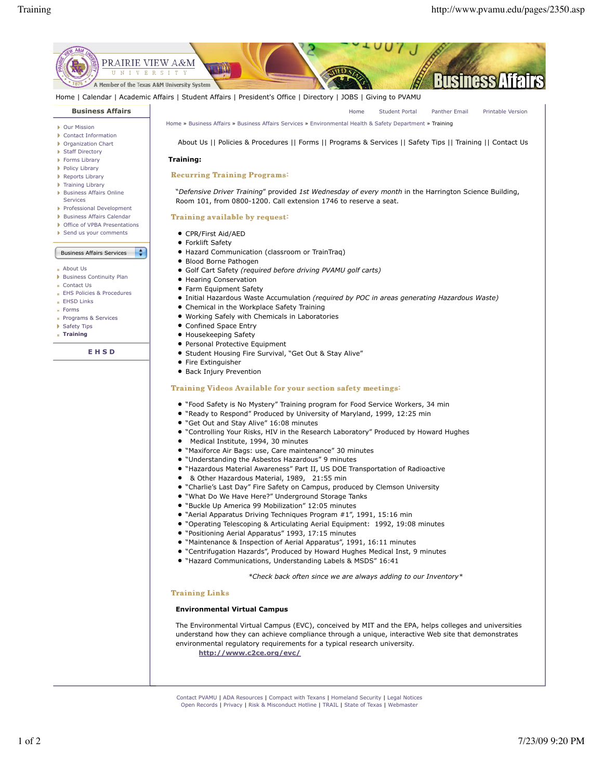

Home | Calendar | Academic Affairs | Student Affairs | President's Office | Directory | JOBS | Giving to PVAMU

# **Business Affairs**

- Our Mission
- Contact Information Organization Chart
- **Staff Directory**
- **Forms Library**
- 
- Policy Library
- Reports Library Training Library
- **Business Affairs Online**
- Services
- Professional Development
- **Business Affairs Calendar**
- ▶ Office of VPBA Presentations
- Send us your comments

#### Business Affairs Services

- About Us
- **Business Continuity Plan**
- Contact Us
- EHS Policies & Procedures
- **EHSD Links**
- Forms
- Programs & Services
- Safety Tips
- **Training**

**E H S D**

# Home Student Portal Panther Email Printable Version

Home » Business Affairs » Business Affairs Services » Environmental Health & Safety Department » Training

About Us || Policies & Procedures || Forms || Programs & Services || Safety Tips || Training || Contact Us

#### **Training:**

# Recurring Training Programs:

"*Defensive Driver Training*" provided *1st Wednesday of every month* in the Harrington Science Building, Room 101, from 0800-1200. Call extension 1746 to reserve a seat.

### Training available by request:

- CPR/First Aid/AED
- **•** Forklift Safety
- Hazard Communication (classroom or TrainTraq)
- Blood Borne Pathogen
- Golf Cart Safety *(required before driving PVAMU golf carts)*
- Hearing Conservation
- **•** Farm Equipment Safety
- Initial Hazardous Waste Accumulation *(required by POC in areas generating Hazardous Waste)*
- Chemical in the Workplace Safety Training

**LA** 

- Working Safely with Chemicals in Laboratories
- Confined Space Entry
- Housekeeping Safety
- **Personal Protective Equipment**
- **Student Housing Fire Survival, "Get Out & Stay Alive"**
- Fire Extinguisher
- **Back Injury Prevention**

## Training Videos Available for your section safety meetings:

- "Food Safety is No Mystery" Training program for Food Service Workers, 34 min
- "Ready to Respond" Produced by University of Maryland, 1999, 12:25 min
- "Get Out and Stay Alive" 16:08 minutes
- "Controlling Your Risks, HIV in the Research Laboratory" Produced by Howard Hughes
- Medical Institute, 1994, 30 minutes
- "Maxiforce Air Bags: use, Care maintenance" 30 minutes
- "Understanding the Asbestos Hazardous" 9 minutes
- "Hazardous Material Awareness" Part II, US DOE Transportation of Radioactive
- & Other Hazardous Material, 1989, 21:55 min
- "Charlie's Last Day" Fire Safety on Campus, produced by Clemson University
- "What Do We Have Here?" Underground Storage Tanks
- "Buckle Up America 99 Mobilization" 12:05 minutes
- "Aerial Apparatus Driving Techniques Program #1", 1991, 15:16 min
- "Operating Telescoping & Articulating Aerial Equipment: 1992, 19:08 minutes
- "Positioning Aerial Apparatus" 1993, 17:15 minutes
- "Maintenance & Inspection of Aerial Apparatus", 1991, 16:11 minutes
- "Centrifugation Hazards", Produced by Howard Hughes Medical Inst, 9 minutes
- "Hazard Communications, Understanding Labels & MSDS" 16:41

*\*Check back often since we are always adding to our Inventory\**

#### **Training Links**

### **Environmental Virtual Campus**

The Environmental Virtual Campus (EVC), conceived by MIT and the EPA, helps colleges and universities understand how they can achieve compliance through a unique, interactive Web site that demonstrates environmental regulatory requirements for a typical research university. **http://www.c2ce.org/evc/**

Contact PVAMU | ADA Resources | Compact with Texans | Homeland Security | Legal Notices Open Records | Privacy | Risk & Misconduct Hotline | TRAIL | State of Texas | Webmaster